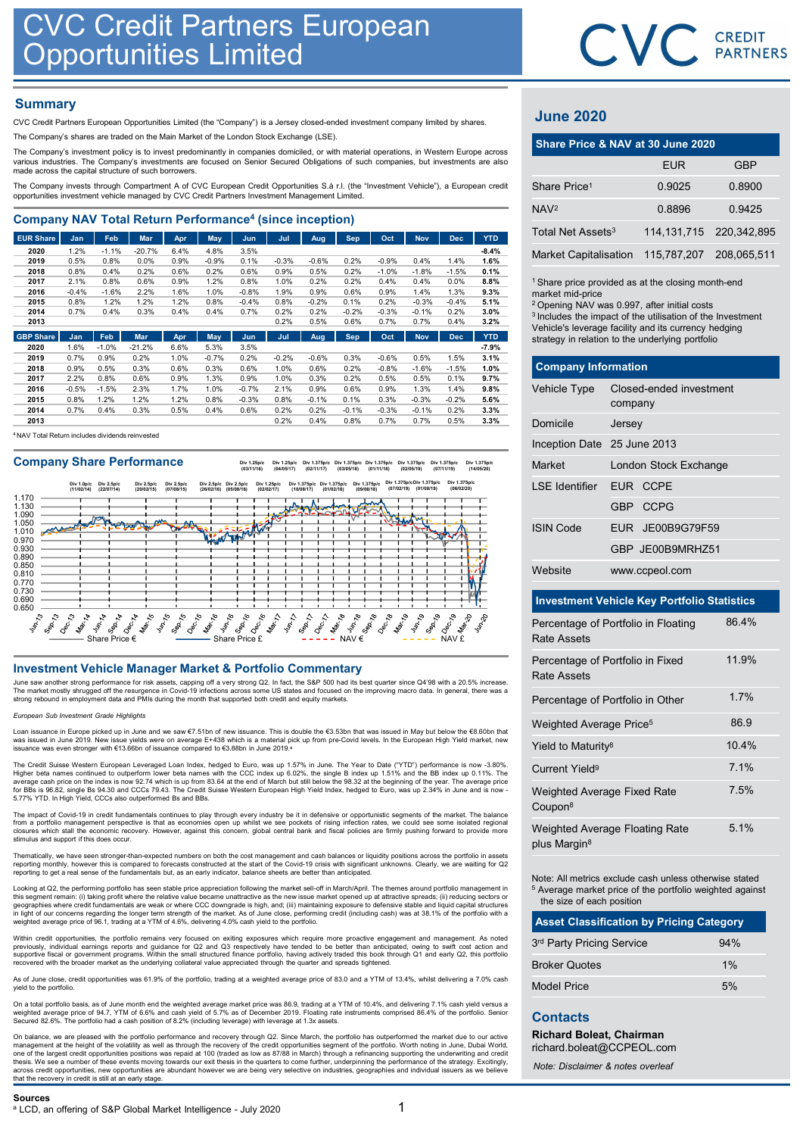## **Summary**

| <b>CVC Credit Partners European</b><br><b>Opportunities Limited</b>                                                                                                                                                                                                                                                                     |              |              |              |              |                 |              |                 |              |                 |                 |                 |                 |              |                                                                                                         | CVC CRI       |                |
|-----------------------------------------------------------------------------------------------------------------------------------------------------------------------------------------------------------------------------------------------------------------------------------------------------------------------------------------|--------------|--------------|--------------|--------------|-----------------|--------------|-----------------|--------------|-----------------|-----------------|-----------------|-----------------|--------------|---------------------------------------------------------------------------------------------------------|---------------|----------------|
| <b>Summary</b><br>CVC Credit Partners European Opportunities Limited (the "Company") is a Jersey closed-ended investment company limited by shares.                                                                                                                                                                                     |              |              |              |              |                 |              |                 |              |                 |                 |                 |                 |              | <b>June 2020</b>                                                                                        |               |                |
| The Company's shares are traded on the Main Market of the London Stock Exchange (LSE).                                                                                                                                                                                                                                                  |              |              |              |              |                 |              |                 |              |                 |                 |                 |                 |              | Share Price & NAV at 30 June 2020                                                                       |               |                |
| The Company's investment policy is to invest predominantly in companies domiciled, or with material operations, in Western Europe across<br>various industries. The Company's investments are focused on Senior Secured Obligations of such companies, but investments are also<br>made across the capital structure of such borrowers. |              |              |              |              |                 |              |                 |              |                 |                 |                 |                 |              |                                                                                                         | <b>EUR</b>    |                |
| The Company invests through Compartment A of CVC European Credit Opportunities S.à r.l. (the "Investment Vehicle"), a European credit<br>opportunities investment vehicle managed by CVC Credit Partners Investment Management Limited.                                                                                                 |              |              |              |              |                 |              |                 |              |                 |                 |                 |                 |              | Share Price <sup>1</sup>                                                                                | 0.9025        | 0              |
| <b>Company NAV Total Return Performance<sup>4</sup> (since inception)</b>                                                                                                                                                                                                                                                               |              |              |              |              |                 |              |                 |              |                 |                 |                 |                 |              | NAV <sup>2</sup>                                                                                        | 0.8896        | $\overline{0}$ |
| <b>EUR Share</b>                                                                                                                                                                                                                                                                                                                        | Jan          | Feb          | Mar          | Apr          | <b>May</b>      | Jun          | Jul             | Aug          | <b>Sep</b>      | Oct             | <b>Nov</b>      | <b>Dec</b>      | <b>YTD</b>   | Total Net Assets <sup>3</sup>                                                                           | 114, 131, 715 | 220,           |
| 2020                                                                                                                                                                                                                                                                                                                                    | 1.2%         | $-1.1%$      | $-20.7%$     | 6.4%         | 4.8%            | 3.5%         |                 |              |                 |                 |                 |                 | $-8.4%$      | <b>Market Capitalisation</b>                                                                            | 115,787,207   | 208.           |
| 2019                                                                                                                                                                                                                                                                                                                                    | 0.5%<br>0.8% | 0.8%<br>0.4% | 0.0%<br>0.2% | 0.9%<br>0.6% | $-0.9%$<br>0.2% | 0.1%<br>0.6% | $-0.3%$<br>0.9% | $-0.6%$      | 0.2%<br>0.2%    | $-0.9%$         | 0.4%            | 1.4%<br>$-1.5%$ | 1.6%<br>0.1% |                                                                                                         |               |                |
| 2018<br>2017                                                                                                                                                                                                                                                                                                                            | 2.1%         | 0.8%         | 0.6%         | 0.9%         | 1.2%            | 0.8%         | 1.0%            | 0.5%<br>0.2% | 0.2%            | $-1.0%$<br>0.4% | $-1.8%$<br>0.4% | $0.0\%$         | 8.8%         | <sup>1</sup> Share price provided as at the closing month-en                                            |               |                |
| 2016                                                                                                                                                                                                                                                                                                                                    | $-0.4%$      | $-1.6%$      | 2.2%         | 1.6%         | 1.0%            | $-0.8%$      | 1.9%            | 0.9%         | 0.6%            | 0.9%            | 1.4%            | 1.3%            | 9.3%         | market mid-price                                                                                        |               |                |
| 2015                                                                                                                                                                                                                                                                                                                                    | 0.8%<br>0.7% | 1.2%<br>0.4% | 1.2%         | 1.2%<br>0.4% | 0.8%            | $-0.4%$      | 0.8%            | $-0.2%$      | 0.1%            | 0.2%            | $-0.3%$         | $-0.4%$         | 5.1%         | <sup>2</sup> Opening NAV was 0.997, after initial costs                                                 |               |                |
| 2014<br>2013                                                                                                                                                                                                                                                                                                                            |              |              | 0.3%         |              | 0.4%            | 0.7%         | 0.2%<br>0.2%    | 0.2%<br>0.5% | $-0.2%$<br>0.6% | $-0.3%$<br>0.7% | $-0.1%$<br>0.7% | 0.2%<br>0.4%    | 3.0%<br>3.2% | <sup>3</sup> Includes the impact of the utilisation of the Inves                                        |               |                |
| <b>GBP Share</b>                                                                                                                                                                                                                                                                                                                        | Jan          | Feb          | <b>Mar</b>   | Apr          | May             | Jun          | Jul             | Aug          | <b>Sep</b>      | Oct             | <b>Nov</b>      | <b>Dec</b>      | <b>YTD</b>   | Vehicle's leverage facility and its currency hedgin<br>strategy in relation to the underlying portfolio |               |                |

| 2020 | 1.6%    | $-1.0%$ | $-21.2%$ | 6.6%   | 5.3%    | 3.5%    |         |         |         |         |         |         | $-7.9%$ |
|------|---------|---------|----------|--------|---------|---------|---------|---------|---------|---------|---------|---------|---------|
| 2019 | 0.7%    | 0.9%    | 0.2%     | $.0\%$ | $-0.7%$ | 0.2%    | $-0.2%$ | $-0.6%$ | 0.3%    | $-0.6%$ | 0.5%    | .5%     | 3.1%    |
| 2018 | 0.9%    | 0.5%    | 0.3%     | 0.6%   | 0.3%    | 0.6%    | 1.0%    | 0.6%    | 0.2%    | $-0.8%$ | $-1.6%$ | $-1.5%$ | 1.0%    |
| 2017 | 2.2%    | 0.8%    | 0.6%     | 0.9%   | 1.3%    | 0.9%    | 1.0%    | 0.3%    | 0.2%    | 0.5%    | 0.5%    | 0.1%    | 9.7%    |
| 2016 | $-0.5%$ | $-1.5%$ | 2.3%     | 1.7%   | 1.0%    | $-0.7%$ | 2.1%    | 0.9%    | 0.6%    | 0.9%    | 1.3%    | 1.4%    | 9.8%    |
| 2015 | 0.8%    | $1.2\%$ | 1.2%     | $.2\%$ | 0.8%    | $-0.3%$ | 0.8%    | $-0.1%$ | 0.1%    | 0.3%    | $-0.3%$ | $-0.2%$ | 5.6%    |
| 2014 | 0.7%    | 0.4%    | 0.3%     | 0.5%   | 0.4%    | 0.6%    | 0.2%    | 0.2%    | $-0.1%$ | $-0.3%$ | $-0.1%$ | 0.2%    | 3.3%    |
| 2013 |         |         |          |        |         |         | 0.2%    | 0.4%    | 0.8%    | 0.7%    | 0.7%    | 0.5%    | 3.3%    |

<sup>4</sup> NAV Total Return includes dividends reinvested

Company Share Performance<br>
(03/11/16) (03/05/19) (03/05/17) (03/05/17) (03/05/17) (03/05/18) (03/05/18) (03/05/19) (02/05/19) (14/05/20)



June saw another strong performance for risk assets, capping off a very strong Q2. In fact, the S&P 500 had its best quarter since Q4'98 with a 20.5% increase. The market mostly shrugged off the resurgence in Covid-19 infections across some US states and focused on the improving macro data. In general, there was a<br>strong rebound in employment data and PMIs during the month that s

### ean Sub Investment Grade Highlights

Loan issuance in Europe picked up in June and we saw €7.51bn of new issuance. This is double the €3.53bn that was issued in May but below the €8.60bn that was issued in June 2019. New issue yields were on average E+438 which is a material pick up from pre-Covid levels. In the European High Yield market, new issuance was even stronger with €13.66bn of issuance compared to €3.88bn in June 2019.<sup>a</sup>

The Credit Suisse Western European Leveraged Loan Index, hedged to Euro, was up 1.57% in June. The Year to Date ("YTD") performance is now -3.80%.<br>Higher beta names continued to outperform lower beta names with the CCC ind

The impact of Covid-19 in credit fundamentals continues to play through every industry be it in defensive or opportunistic segments of the market. The balance<br>from a portfolio management perspective is that as economies op stimulus and support if this does occur.

Thematically, we have seen stronger-than-expected numbers on both the cost management and cash balances or liquidity positions across the portfolio in assets reporting monthly, however this is compared to forecasts constructed at the start of the Covid-19 crisis with significant unknowns. Clearly, we are waiting for Q2 reporting to get a real sense of the fundamentals but, as an early indicator, balance sheets are better than anticipated.

Looking at Q2, the performing portfolio has seen stable price appreciation following the market sell-off in March/April. The themes around portfolio management in<br>this segment remain: (i) taking profit where the relative v in light of our concerns regarding the longer term strength of the market. As of June close, performing credit (including cash) was at 38.1% of the portfolio with a<br>weighted average price of 96.1, trading at a YTM of 4.6%,

Within credit opportunities, the portfolio remains very focused on exiting exposures which require more proactive engagement and management. As noted<br>supportive fiscal or government programs. Within the small structured fi

As of June close, credit opportunities was 61.9% of the portfolio, trading at a weighted average price of 83.0 and a YTM of 13.4%, whilst delivering a 7.0% cash is of safe close,

On a total portfolio basis, as of June month end the weighted average market price was 86.9, trading at a YTM of 10.4%, and delivering 7.1% cash yield versus a<br>weighted average price of 94.7, YTM of 6.6% and cash yield of Secured 82.6%. The portfolio had a cash position of 8.2% (including leverage) with leverage at 1.3x assets.

On balance, we are pleased with the portfolio performance and recovery through Q2. Since March, the portfolio has outperformed the market due to our active<br>management at the height of the volatility as well as through the thesis. We see a number of these events moving towards our exit thesis in the quarters to come further, underpinning the performance of the strategy. Excitingly,<br>across credit opportunities, new opportunities are abundant that the recovery in credit is still at an early stage. The contract system Except and computer system into the contract of ER and The Contract of ER and The Contract of ER and The Contract of ER and The Contract of ER and The Contract of ER and The Contract of ER and The Cont

## June 2020

|                               | CVC CREDIT                                                                                                                                                                                                                                                                                                    |               |
|-------------------------------|---------------------------------------------------------------------------------------------------------------------------------------------------------------------------------------------------------------------------------------------------------------------------------------------------------------|---------------|
|                               |                                                                                                                                                                                                                                                                                                               |               |
|                               |                                                                                                                                                                                                                                                                                                               |               |
| <b>June 2020</b>              |                                                                                                                                                                                                                                                                                                               |               |
|                               | Share Price & NAV at 30 June 2020                                                                                                                                                                                                                                                                             |               |
|                               | <b>EUR</b>                                                                                                                                                                                                                                                                                                    | <b>GBP</b>    |
| Share Price <sup>1</sup>      | 0.9025                                                                                                                                                                                                                                                                                                        | 0.8900        |
| NAV <sup>2</sup>              | 0.8896                                                                                                                                                                                                                                                                                                        | 0.9425        |
| Total Net Assets <sup>3</sup> | 114, 131, 715                                                                                                                                                                                                                                                                                                 | 220, 342, 895 |
| <b>Market Capitalisation</b>  | 115,787,207                                                                                                                                                                                                                                                                                                   | 208,065,511   |
| market mid-price              | <sup>1</sup> Share price provided as at the closing month-end<br><sup>2</sup> Opening NAV was 0.997, after initial costs<br><sup>3</sup> Includes the impact of the utilisation of the Investment<br>Vehicle's leverage facility and its currency hedging<br>strategy in relation to the underlying portfolio |               |
| <b>Company Information</b>    |                                                                                                                                                                                                                                                                                                               |               |
| Vehicle Type                  | Closed-ended investment<br>company                                                                                                                                                                                                                                                                            |               |
| Domicile                      | Jersey                                                                                                                                                                                                                                                                                                        |               |
|                               |                                                                                                                                                                                                                                                                                                               |               |
| Inception Date 25 June 2013   |                                                                                                                                                                                                                                                                                                               |               |

| <b>June 2020</b>                                          |                                                                                                                                                                                                                                                                                                               |                         |             |  |
|-----------------------------------------------------------|---------------------------------------------------------------------------------------------------------------------------------------------------------------------------------------------------------------------------------------------------------------------------------------------------------------|-------------------------|-------------|--|
| Share Price & NAV at 30 June 2020                         |                                                                                                                                                                                                                                                                                                               |                         |             |  |
|                                                           |                                                                                                                                                                                                                                                                                                               | <b>EUR</b>              | <b>GBP</b>  |  |
| Share Price <sup>1</sup>                                  |                                                                                                                                                                                                                                                                                                               | 0.9025                  | 0.8900      |  |
| NAV <sup>2</sup>                                          |                                                                                                                                                                                                                                                                                                               | 0.8896                  | 0.9425      |  |
| Total Net Assets <sup>3</sup>                             |                                                                                                                                                                                                                                                                                                               | 114, 131, 715           | 220,342,895 |  |
| <b>Market Capitalisation</b>                              |                                                                                                                                                                                                                                                                                                               | 115,787,207             | 208,065,511 |  |
| market mid-price                                          | <sup>1</sup> Share price provided as at the closing month-end<br><sup>2</sup> Opening NAV was 0.997, after initial costs<br><sup>3</sup> Includes the impact of the utilisation of the Investment<br>Vehicle's leverage facility and its currency hedging<br>strategy in relation to the underlying portfolio |                         |             |  |
| <b>Company Information</b>                                |                                                                                                                                                                                                                                                                                                               |                         |             |  |
| Vehicle Type                                              | company                                                                                                                                                                                                                                                                                                       | Closed-ended investment |             |  |
| Domicile                                                  | Jersey                                                                                                                                                                                                                                                                                                        |                         |             |  |
| Inception Date 25 June 2013                               |                                                                                                                                                                                                                                                                                                               |                         |             |  |
| Market                                                    |                                                                                                                                                                                                                                                                                                               | London Stock Exchange   |             |  |
| <b>LSE</b> Identifier                                     |                                                                                                                                                                                                                                                                                                               | EUR CCPE                |             |  |
|                                                           |                                                                                                                                                                                                                                                                                                               | GBP CCPG                |             |  |
| <b>ISIN Code</b>                                          | EUR                                                                                                                                                                                                                                                                                                           | JE00B9G79F59            |             |  |
|                                                           |                                                                                                                                                                                                                                                                                                               | GBP JE00B9MRHZ51        |             |  |
| Website                                                   |                                                                                                                                                                                                                                                                                                               | www.ccpeol.com          |             |  |
| <b>Investment Vehicle Key Portfolio Statistics</b>        |                                                                                                                                                                                                                                                                                                               |                         |             |  |
| Percentage of Portfolio in Floating<br><b>Rate Assets</b> |                                                                                                                                                                                                                                                                                                               |                         | 86.4%       |  |

### Investment Vehicle Key Portfolio Statistics

| Website<br>www.ccpeol.com<br><b>Investment Vehicle Key Portfolio Statistics</b><br>86.4%<br>Percentage of Portfolio in Floating<br><b>Rate Assets</b><br>11.9%<br>Percentage of Portfolio in Fixed<br>Rate Assets<br>1.7%<br>Percentage of Portfolio in Other<br>86.9<br>Weighted Average Price <sup>5</sup><br>10.4%<br>Yield to Maturity <sup>8</sup><br>7.1%<br>Current Yield <sup>9</sup><br>7.5%<br>Weighted Average Fixed Rate<br>Coupon <sup>8</sup><br>5.1%<br>Weighted Average Floating Rate<br>plus Margin <sup>8</sup> |
|-----------------------------------------------------------------------------------------------------------------------------------------------------------------------------------------------------------------------------------------------------------------------------------------------------------------------------------------------------------------------------------------------------------------------------------------------------------------------------------------------------------------------------------|
|                                                                                                                                                                                                                                                                                                                                                                                                                                                                                                                                   |
|                                                                                                                                                                                                                                                                                                                                                                                                                                                                                                                                   |
|                                                                                                                                                                                                                                                                                                                                                                                                                                                                                                                                   |
|                                                                                                                                                                                                                                                                                                                                                                                                                                                                                                                                   |
|                                                                                                                                                                                                                                                                                                                                                                                                                                                                                                                                   |
|                                                                                                                                                                                                                                                                                                                                                                                                                                                                                                                                   |
|                                                                                                                                                                                                                                                                                                                                                                                                                                                                                                                                   |
|                                                                                                                                                                                                                                                                                                                                                                                                                                                                                                                                   |
|                                                                                                                                                                                                                                                                                                                                                                                                                                                                                                                                   |
|                                                                                                                                                                                                                                                                                                                                                                                                                                                                                                                                   |
| Note: All metrics exclude cash unless otherwise stated<br><sup>5</sup> Average market price of the portfolio weighted against<br>the size of each position                                                                                                                                                                                                                                                                                                                                                                        |
| <b>Asset Classification by Pricing Category</b>                                                                                                                                                                                                                                                                                                                                                                                                                                                                                   |
| 3rd Party Pricing Service<br>94%                                                                                                                                                                                                                                                                                                                                                                                                                                                                                                  |
| 1%<br><b>Broker Quotes</b>                                                                                                                                                                                                                                                                                                                                                                                                                                                                                                        |
| 5%<br><b>Model Price</b>                                                                                                                                                                                                                                                                                                                                                                                                                                                                                                          |
| <b>Contacts</b><br><b>Richard Boleat, Chairman</b>                                                                                                                                                                                                                                                                                                                                                                                                                                                                                |
| richard.boleat@CCPEOL.com<br>Note: Disclaimer & notes overleaf                                                                                                                                                                                                                                                                                                                                                                                                                                                                    |

| <b>Asset Classification by Pricing Category</b> |     |  |  |  |  |  |
|-------------------------------------------------|-----|--|--|--|--|--|
| 3rd Party Pricing Service                       | 94% |  |  |  |  |  |
| <b>Broker Quotes</b>                            | 1%  |  |  |  |  |  |
| <b>Model Price</b>                              | 5%  |  |  |  |  |  |

### **Contacts**